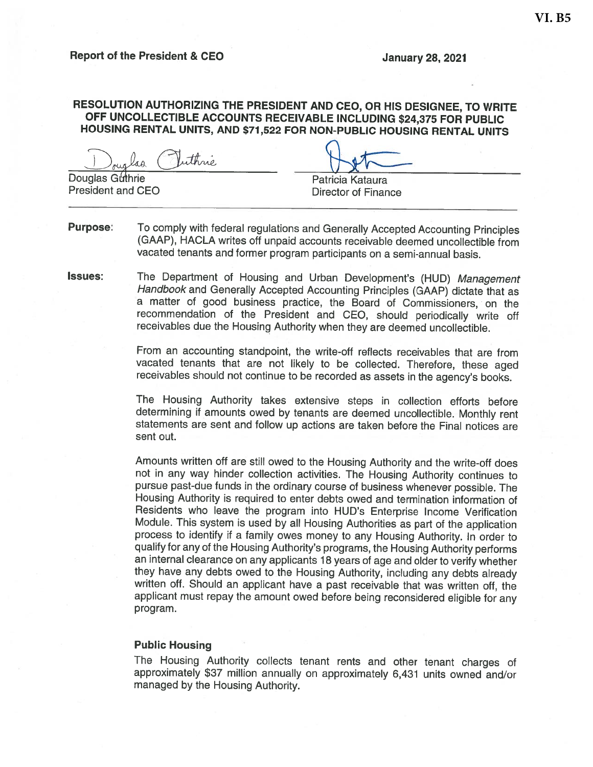#### **January 28, 2021**

### RESOLUTION AUTHORIZING THE PRESIDENT AND CEO, OR HIS DESIGNEE, TO WRITE OFF UNCOLLECTIBLE ACCOUNTS RECEIVABLE INCLUDING \$24,375 FOR PUBLIC HOUSING RENTAL UNITS, AND \$71,522 FOR NON-PUBLIC HOUSING RENTAL UNITS

thné.

Douglas Guthrie President and CEO

Patricia Kataura

**Director of Finance** 

- To comply with federal regulations and Generally Accepted Accounting Principles **Purpose:** (GAAP), HACLA writes off unpaid accounts receivable deemed uncollectible from vacated tenants and former program participants on a semi-annual basis.
- Issues: The Department of Housing and Urban Development's (HUD) Management Handbook and Generally Accepted Accounting Principles (GAAP) dictate that as a matter of good business practice, the Board of Commissioners, on the recommendation of the President and CEO, should periodically write off receivables due the Housing Authority when they are deemed uncollectible.

From an accounting standpoint, the write-off reflects receivables that are from vacated tenants that are not likely to be collected. Therefore, these aged receivables should not continue to be recorded as assets in the agency's books.

The Housing Authority takes extensive steps in collection efforts before determining if amounts owed by tenants are deemed uncollectible. Monthly rent statements are sent and follow up actions are taken before the Final notices are sent out.

Amounts written off are still owed to the Housing Authority and the write-off does not in any way hinder collection activities. The Housing Authority continues to pursue past-due funds in the ordinary course of business whenever possible. The Housing Authority is required to enter debts owed and termination information of Residents who leave the program into HUD's Enterprise Income Verification Module. This system is used by all Housing Authorities as part of the application process to identify if a family owes money to any Housing Authority. In order to qualify for any of the Housing Authority's programs, the Housing Authority performs an internal clearance on any applicants 18 years of age and older to verify whether they have any debts owed to the Housing Authority, including any debts already written off. Should an applicant have a past receivable that was written off, the applicant must repay the amount owed before being reconsidered eligible for any program.

#### **Public Housing**

The Housing Authority collects tenant rents and other tenant charges of approximately \$37 million annually on approximately 6,431 units owned and/or managed by the Housing Authority.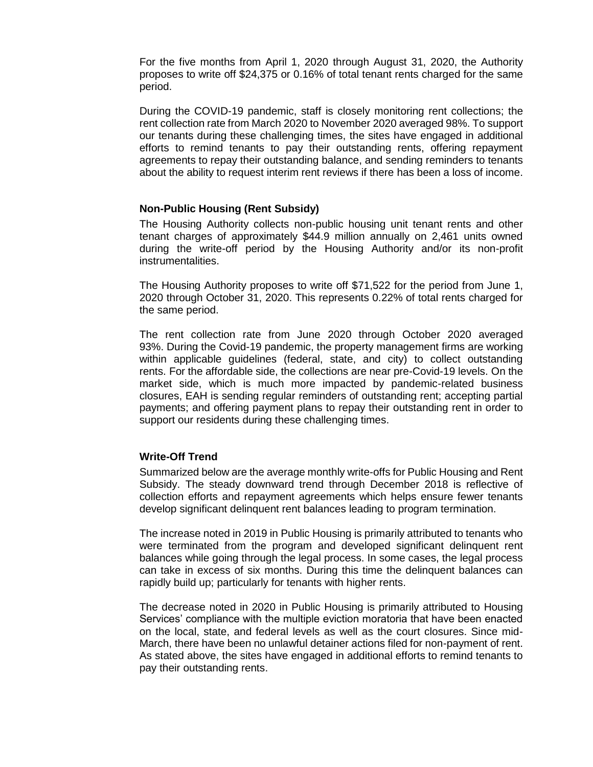For the five months from April 1, 2020 through August 31, 2020, the Authority proposes to write off \$24,375 or 0.16% of total tenant rents charged for the same period.

During the COVID-19 pandemic, staff is closely monitoring rent collections; the rent collection rate from March 2020 to November 2020 averaged 98%. To support our tenants during these challenging times, the sites have engaged in additional efforts to remind tenants to pay their outstanding rents, offering repayment agreements to repay their outstanding balance, and sending reminders to tenants about the ability to request interim rent reviews if there has been a loss of income.

### **Non-Public Housing (Rent Subsidy)**

The Housing Authority collects non-public housing unit tenant rents and other tenant charges of approximately \$44.9 million annually on 2,461 units owned during the write-off period by the Housing Authority and/or its non-profit instrumentalities.

The Housing Authority proposes to write off \$71,522 for the period from June 1, 2020 through October 31, 2020. This represents 0.22% of total rents charged for the same period.

The rent collection rate from June 2020 through October 2020 averaged 93%. During the Covid-19 pandemic, the property management firms are working within applicable guidelines (federal, state, and city) to collect outstanding rents. For the affordable side, the collections are near pre-Covid-19 levels. On the market side, which is much more impacted by pandemic-related business closures, EAH is sending regular reminders of outstanding rent; accepting partial payments; and offering payment plans to repay their outstanding rent in order to support our residents during these challenging times.

### **Write-Off Trend**

Summarized below are the average monthly write-offs for Public Housing and Rent Subsidy. The steady downward trend through December 2018 is reflective of collection efforts and repayment agreements which helps ensure fewer tenants develop significant delinquent rent balances leading to program termination.

The increase noted in 2019 in Public Housing is primarily attributed to tenants who were terminated from the program and developed significant delinquent rent balances while going through the legal process. In some cases, the legal process can take in excess of six months. During this time the delinquent balances can rapidly build up; particularly for tenants with higher rents.

The decrease noted in 2020 in Public Housing is primarily attributed to Housing Services' compliance with the multiple eviction moratoria that have been enacted on the local, state, and federal levels as well as the court closures. Since mid-March, there have been no unlawful detainer actions filed for non-payment of rent. As stated above, the sites have engaged in additional efforts to remind tenants to pay their outstanding rents.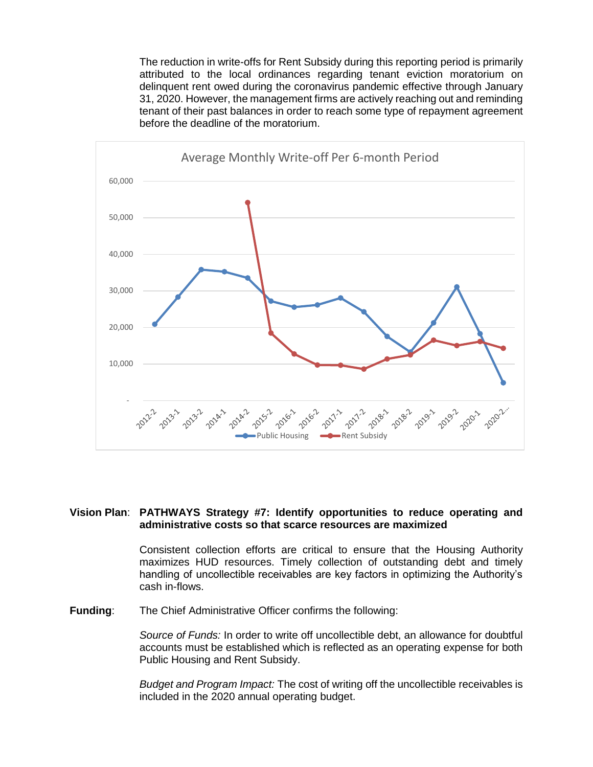The reduction in write-offs for Rent Subsidy during this reporting period is primarily attributed to the local ordinances regarding tenant eviction moratorium on delinquent rent owed during the coronavirus pandemic effective through January 31, 2020. However, the management firms are actively reaching out and reminding tenant of their past balances in order to reach some type of repayment agreement before the deadline of the moratorium.



### **Vision Plan**: **PATHWAYS Strategy #7: Identify opportunities to reduce operating and administrative costs so that scarce resources are maximized**

Consistent collection efforts are critical to ensure that the Housing Authority maximizes HUD resources. Timely collection of outstanding debt and timely handling of uncollectible receivables are key factors in optimizing the Authority's cash in-flows.

**Funding**: The Chief Administrative Officer confirms the following:

*Source of Funds:* In order to write off uncollectible debt, an allowance for doubtful accounts must be established which is reflected as an operating expense for both Public Housing and Rent Subsidy.

*Budget and Program Impact:* The cost of writing off the uncollectible receivables is included in the 2020 annual operating budget.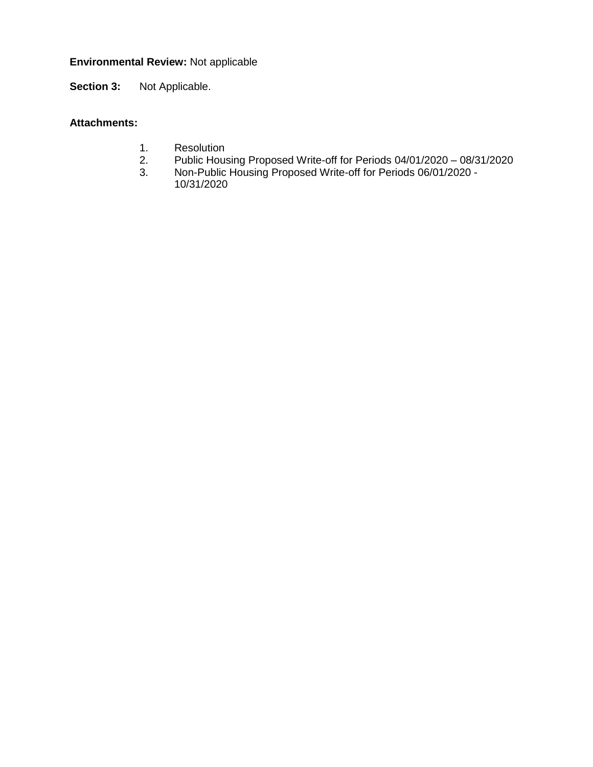# **Environmental Review:** Not applicable

**Section 3:** Not Applicable.

## **Attachments:**

- 1. Resolution<br>2. Public Hous
- 2. Public Housing Proposed Write-off for Periods 04/01/2020 08/31/2020
- 3. Non-Public Housing Proposed Write-off for Periods 06/01/2020 10/31/2020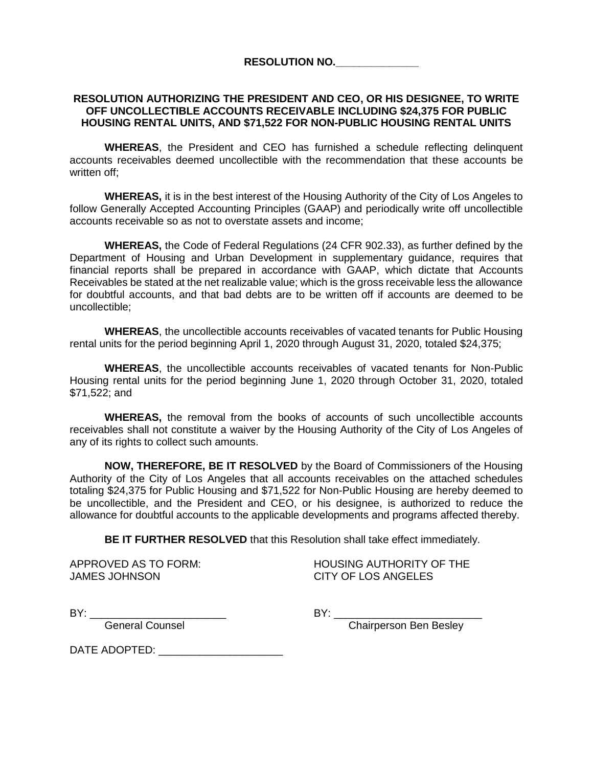**RESOLUTION NO.\_\_\_\_\_\_\_\_\_\_\_\_\_\_**

### **RESOLUTION AUTHORIZING THE PRESIDENT AND CEO, OR HIS DESIGNEE, TO WRITE OFF UNCOLLECTIBLE ACCOUNTS RECEIVABLE INCLUDING \$24,375 FOR PUBLIC HOUSING RENTAL UNITS, AND \$71,522 FOR NON-PUBLIC HOUSING RENTAL UNITS**

**WHEREAS**, the President and CEO has furnished a schedule reflecting delinquent accounts receivables deemed uncollectible with the recommendation that these accounts be written off<sup>-</sup>

**WHEREAS,** it is in the best interest of the Housing Authority of the City of Los Angeles to follow Generally Accepted Accounting Principles (GAAP) and periodically write off uncollectible accounts receivable so as not to overstate assets and income;

**WHEREAS,** the Code of Federal Regulations (24 CFR 902.33), as further defined by the Department of Housing and Urban Development in supplementary guidance, requires that financial reports shall be prepared in accordance with GAAP, which dictate that Accounts Receivables be stated at the net realizable value; which is the gross receivable less the allowance for doubtful accounts, and that bad debts are to be written off if accounts are deemed to be uncollectible;

**WHEREAS**, the uncollectible accounts receivables of vacated tenants for Public Housing rental units for the period beginning April 1, 2020 through August 31, 2020, totaled \$24,375;

**WHEREAS**, the uncollectible accounts receivables of vacated tenants for Non-Public Housing rental units for the period beginning June 1, 2020 through October 31, 2020, totaled \$71,522; and

**WHEREAS,** the removal from the books of accounts of such uncollectible accounts receivables shall not constitute a waiver by the Housing Authority of the City of Los Angeles of any of its rights to collect such amounts.

**NOW, THEREFORE, BE IT RESOLVED** by the Board of Commissioners of the Housing Authority of the City of Los Angeles that all accounts receivables on the attached schedules totaling \$24,375 for Public Housing and \$71,522 for Non-Public Housing are hereby deemed to be uncollectible, and the President and CEO, or his designee, is authorized to reduce the allowance for doubtful accounts to the applicable developments and programs affected thereby.

**BE IT FURTHER RESOLVED** that this Resolution shall take effect immediately.

JAMES JOHNSON CITY OF LOS ANGELES

APPROVED AS TO FORM: HOUSING AUTHORITY OF THE

BY: \_\_\_\_\_\_\_\_\_\_\_\_\_\_\_\_\_\_\_\_\_\_\_ BY: \_\_\_\_\_\_\_\_\_\_\_\_\_\_\_\_\_\_\_\_\_\_\_\_\_

General Counsel Chairperson Ben Besley

DATE ADOPTED: \_\_\_\_\_\_\_\_\_\_\_\_\_\_\_\_\_\_\_\_\_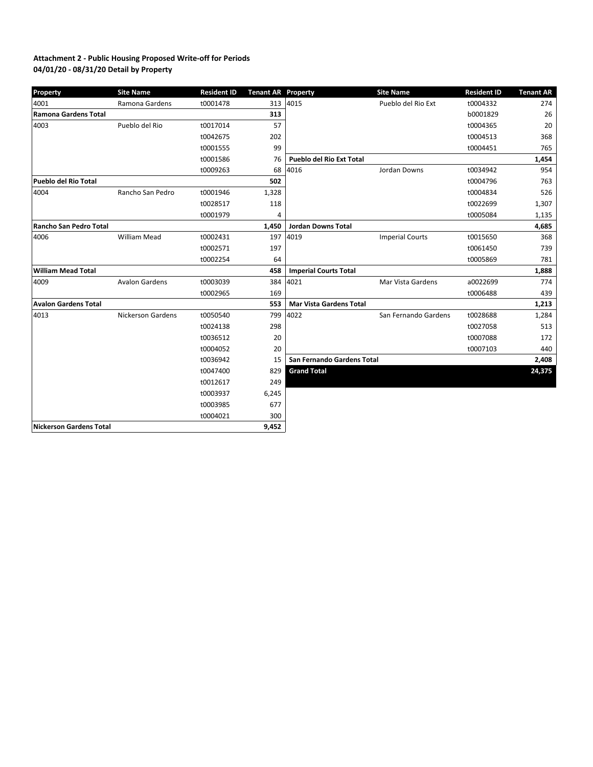#### **04/01/20 - 08/31/20 Detail by Property Attachment 2 - Public Housing Proposed Write-off for Periods**

| <b>Property</b>             | <b>Site Name</b>         | <b>Resident ID</b> | <b>Tenant AR Property</b> |                                 | <b>Site Name</b>       | <b>Resident ID</b> | <b>Tenant AR</b> |
|-----------------------------|--------------------------|--------------------|---------------------------|---------------------------------|------------------------|--------------------|------------------|
| 4001                        | Ramona Gardens           | t0001478           | 313                       | 4015                            | Pueblo del Rio Ext     | t0004332           | 274              |
| <b>Ramona Gardens Total</b> |                          |                    | 313                       |                                 |                        | b0001829           | 26               |
| 4003                        | Pueblo del Rio           | t0017014           | 57                        |                                 |                        | t0004365           | 20               |
|                             |                          | t0042675           | 202                       |                                 |                        | t0004513           | 368              |
|                             |                          | t0001555           | 99                        |                                 |                        | t0004451           | 765              |
|                             |                          | t0001586           | 76                        | <b>Pueblo del Rio Ext Total</b> |                        |                    | 1,454            |
|                             |                          | t0009263           | 68                        | 4016                            | Jordan Downs           | t0034942           | 954              |
| Pueblo del Rio Total        |                          |                    | 502                       |                                 |                        | t0004796           | 763              |
| 4004                        | Rancho San Pedro         | t0001946           | 1,328                     |                                 |                        | t0004834           | 526              |
|                             |                          | t0028517           | 118                       |                                 |                        | t0022699           | 1,307            |
|                             |                          | t0001979           | 4                         |                                 |                        | t0005084           | 1,135            |
| Rancho San Pedro Total      |                          |                    | 1,450                     | <b>Jordan Downs Total</b>       |                        |                    | 4,685            |
| 4006                        | <b>William Mead</b>      | t0002431           | 197                       | 4019                            | <b>Imperial Courts</b> | t0015650           | 368              |
|                             |                          | t0002571           | 197                       |                                 |                        | t0061450           | 739              |
|                             |                          | t0002254           | 64                        |                                 |                        | t0005869           | 781              |
| William Mead Total          |                          |                    | 458                       | <b>Imperial Courts Total</b>    |                        |                    | 1,888            |
| 4009                        | <b>Avalon Gardens</b>    | t0003039           | 384                       | 4021                            | Mar Vista Gardens      | a0022699           | 774              |
|                             |                          | t0002965           | 169                       |                                 |                        | t0006488           | 439              |
| <b>Avalon Gardens Total</b> |                          |                    | 553                       | <b>Mar Vista Gardens Total</b>  |                        |                    | 1,213            |
| 4013                        | <b>Nickerson Gardens</b> | t0050540           | 799                       | 4022                            | San Fernando Gardens   | t0028688           | 1,284            |
|                             |                          | t0024138           | 298                       |                                 |                        | t0027058           | 513              |
|                             |                          | t0036512           | 20                        |                                 |                        | t0007088           | 172              |
|                             |                          | t0004052           | 20                        |                                 |                        | t0007103           | 440              |
|                             |                          | t0036942           | 15                        | San Fernando Gardens Total      |                        |                    | 2,408            |
|                             |                          | t0047400           | 829                       | <b>Grand Total</b>              |                        |                    | 24,375           |
|                             |                          | t0012617           | 249                       |                                 |                        |                    |                  |
|                             |                          | t0003937           | 6,245                     |                                 |                        |                    |                  |
|                             |                          | t0003985           | 677                       |                                 |                        |                    |                  |
|                             |                          | t0004021           | 300                       |                                 |                        |                    |                  |
| Nickerson Gardens Total     |                          |                    | 9,452                     |                                 |                        |                    |                  |